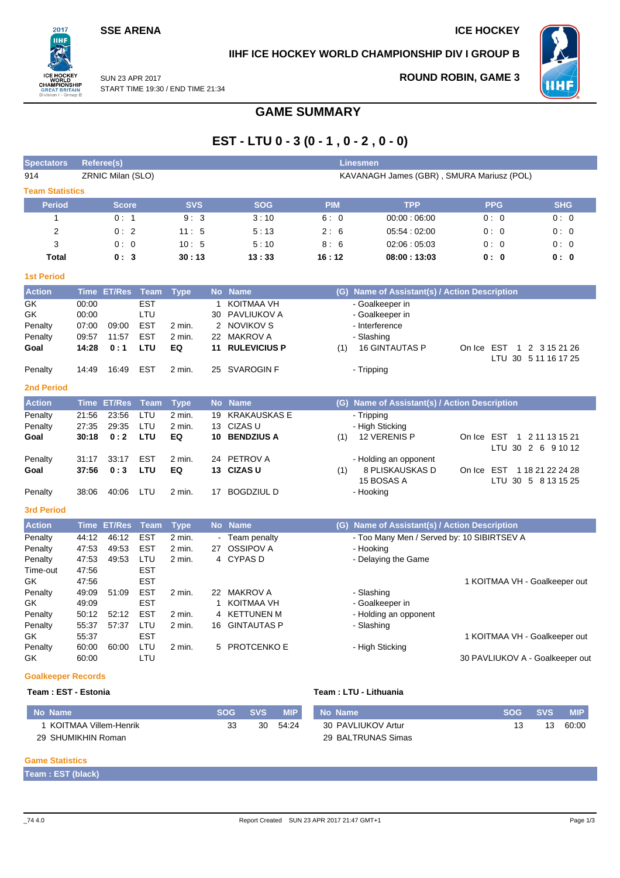## **SSE ARENA ICE HOCKEY**

 $2017$ **IIHF** 

REATI n I - Gro

## **IIHF ICE HOCKEY WORLD CHAMPIONSHIP DIV I GROUP B**



SUN 23 APR 2017 START TIME 19:30 / END TIME 21:34

## **ROUND ROBIN, GAME 3**

# **GAME SUMMARY**

# **EST - LTU 0 - 3 (0 - 1 , 0 - 2 , 0 - 0)**

| <b>Spectators</b>      |             | <b>Referee(s)</b> |             |             |              |                     |            | <b>Linesmen</b>                               |                                 |                      |
|------------------------|-------------|-------------------|-------------|-------------|--------------|---------------------|------------|-----------------------------------------------|---------------------------------|----------------------|
| 914                    |             | ZRNIC Milan (SLO) |             |             |              |                     |            | KAVANAGH James (GBR), SMURA Mariusz (POL)     |                                 |                      |
| <b>Team Statistics</b> |             |                   |             |             |              |                     |            |                                               |                                 |                      |
| <b>Period</b>          |             | <b>Score</b>      |             | <b>SVS</b>  |              | <b>SOG</b>          | <b>PIM</b> | <b>TPP</b>                                    | <b>PPG</b>                      | <b>SHG</b>           |
| $\mathbf{1}$           |             | 0:1               |             | 9:3         |              | 3:10                | 6:0        | 00:00:06:00                                   | 0:0                             | 0:0                  |
| $\overline{2}$         |             | 0:2               |             | 11:5        |              | 5:13                | 2:6        | 05:54:02:00                                   | 0:0                             | 0:0                  |
| 3                      |             | 0:0               |             | 10:5        |              | 5:10                | 8:6        | 02:06:05:03                                   | 0:0                             | 0:0                  |
| <b>Total</b>           |             | 0:3               |             | 30:13       |              | 13:33               | 16:12      | 08:00:13:03                                   | 0: 0                            | 0: 0                 |
| <b>1st Period</b>      |             |                   |             |             |              |                     |            |                                               |                                 |                      |
| <b>Action</b>          | <b>Time</b> | ET/Res Team       |             | <b>Type</b> |              | No Name             |            | (G) Name of Assistant(s) / Action Description |                                 |                      |
| GK                     | 00:00       |                   | <b>EST</b>  |             | $\mathbf{1}$ | <b>KOITMAA VH</b>   |            | - Goalkeeper in                               |                                 |                      |
| GK                     | 00:00       |                   | LTU         |             | 30           | PAVLIUKOV A         |            | - Goalkeeper in                               |                                 |                      |
| Penalty                | 07:00       | 09:00             | <b>EST</b>  | 2 min.      |              | 2 NOVIKOV S         |            | - Interference                                |                                 |                      |
| Penalty                | 09:57       | 11:57             | <b>EST</b>  | 2 min.      |              | 22 MAKROV A         |            | - Slashing                                    |                                 |                      |
| Goal                   | 14:28       | 0:1               | LTU         | EQ          | 11           | <b>RULEVICIUS P</b> | (1)        | <b>16 GINTAUTAS P</b>                         | On Ice EST                      | 1 2 3 15 21 26       |
|                        |             |                   |             |             |              |                     |            |                                               |                                 | LTU 30 5 11 16 17 25 |
| Penalty                | 14:49       | 16:49             | <b>EST</b>  | 2 min.      | 25           | <b>SVAROGIN F</b>   |            | - Tripping                                    |                                 |                      |
| <b>2nd Period</b>      |             |                   |             |             |              |                     |            |                                               |                                 |                      |
| <b>Action</b>          | <b>Time</b> | <b>ET/Res</b>     | <b>Team</b> | <b>Type</b> | <b>No</b>    | <b>Name</b>         |            | (G) Name of Assistant(s) / Action Description |                                 |                      |
| Penalty                | 21:56       | 23:56             | LTU         | 2 min.      | 19           | <b>KRAKAUSKAS E</b> |            | - Tripping                                    |                                 |                      |
| Penalty                | 27:35       | 29:35             | LTU         | 2 min.      | 13           | CIZAS U             |            | - High Sticking                               |                                 |                      |
| Goal                   | 30:18       | 0:2               | LTU         | EQ          | 10           | <b>BENDZIUS A</b>   | (1)        | 12 VERENIS P                                  | On Ice EST                      | 1 2 11 13 15 21      |
|                        |             |                   |             |             |              |                     |            |                                               |                                 | LTU 30 2 6 9 10 12   |
| Penalty                | 31:17       | 33:17             | EST         | 2 min.      | 24           | PETROV A            |            | - Holding an opponent                         |                                 |                      |
| Goal                   | 37:56       | 0:3               | LTU         | EQ          |              | 13 CIZAS U          | (1)        | 8 PLISKAUSKAS D                               | On Ice EST                      | 1 18 21 22 24 28     |
|                        |             |                   |             |             |              |                     |            | 15 BOSAS A                                    |                                 | LTU 30 5 8 13 15 25  |
| Penalty                | 38:06       | 40:06             | LTU         | 2 min.      | 17           | <b>BOGDZIUL D</b>   |            | - Hooking                                     |                                 |                      |
| <b>3rd Period</b>      |             |                   |             |             |              |                     |            |                                               |                                 |                      |
| <b>Action</b>          | Time        | <b>ET/Res</b>     | <b>Team</b> | <b>Type</b> |              | No Name             |            | (G) Name of Assistant(s) / Action Description |                                 |                      |
| Penalty                | 44:12       | 46:12             | <b>EST</b>  | 2 min.      |              | Team penalty        |            | - Too Many Men / Served by: 10 SIBIRTSEV A    |                                 |                      |
| Penalty                | 47:53       | 49:53             | <b>EST</b>  | 2 min.      | 27           | <b>OSSIPOV A</b>    |            | - Hooking                                     |                                 |                      |
| Penalty                | 47:53       | 49:53             | LTU         | 2 min.      |              | 4 CYPAS D           |            | - Delaying the Game                           |                                 |                      |
| Time-out               | 47:56       |                   | <b>EST</b>  |             |              |                     |            |                                               |                                 |                      |
| GK                     | 47:56       |                   | <b>EST</b>  |             |              |                     |            |                                               | 1 KOITMAA VH - Goalkeeper out   |                      |
| Penalty                | 49:09       | 51:09             | <b>EST</b>  | 2 min.      |              | 22 MAKROV A         |            | - Slashing                                    |                                 |                      |
| GK                     | 49:09       |                   | <b>EST</b>  |             | $\mathbf{1}$ | <b>KOITMAA VH</b>   |            | - Goalkeeper in                               |                                 |                      |
| Penalty                | 50:12       | 52:12             | <b>EST</b>  | 2 min.      | 4            | <b>KETTUNEN M</b>   |            | - Holding an opponent                         |                                 |                      |
| Penalty                | 55:37       | 57:37             | LTU         | 2 min.      | 16           | <b>GINTAUTAS P</b>  |            | - Slashing                                    |                                 |                      |
| GK                     | 55:37       |                   | <b>EST</b>  |             |              |                     |            |                                               | 1 KOITMAA VH - Goalkeeper out   |                      |
| Penalty                | 60:00       | 60:00             | LTU         | 2 min.      | 5            | <b>PROTCENKO E</b>  |            | - High Sticking                               |                                 |                      |
| GK                     | 60:00       |                   | LTU         |             |              |                     |            |                                               | 30 PAVLIUKOV A - Goalkeeper out |                      |
|                        |             |                   |             |             |              |                     |            |                                               |                                 |                      |

## **Goalkeeper Records**

#### **Team : EST - Estonia Team : LTU - Lithuania**

| No Name               | SOG | <b>SVS</b> | <b>MIP</b> | No Name            | <b>SOG</b> | <b>SVS.</b> | <b>MIP</b> |
|-----------------------|-----|------------|------------|--------------------|------------|-------------|------------|
| KOITMAA Villem-Henrik | っっ  | 30         | 54.24      | 30 PAVLIUKOV Artur |            | 13          | 60:00      |
| 29 SHUMIKHIN Roman    |     |            |            | 29 BALTRUNAS Simas |            |             |            |

### **Game Statistics**

**Team : EST (black)**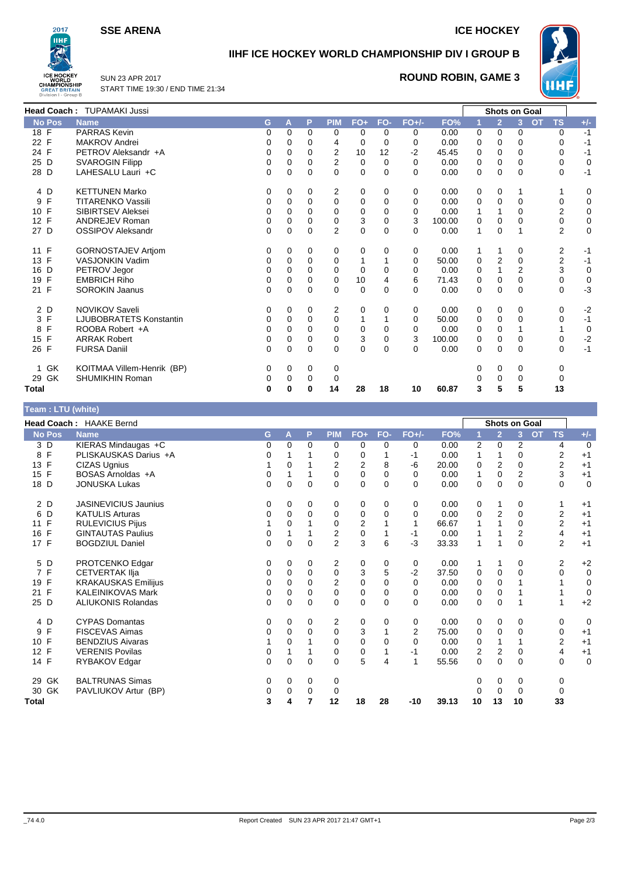**SSE ARENA ICE HOCKEY** 



## **IIHF ICE HOCKEY WORLD CHAMPIONSHIP DIV I GROUP B**



SUN 23 APR 2017 START TIME 19:30 / END TIME 21:34

## **ROUND ROBIN, GAME 3**

|                    | <b>Head Coach: TUPAMAKI Jussi</b> |    |          |          |                |             |          |          |        |   |                | Shots on Goal |                         |          |
|--------------------|-----------------------------------|----|----------|----------|----------------|-------------|----------|----------|--------|---|----------------|---------------|-------------------------|----------|
| <b>No Pos</b>      | <b>Name</b>                       | G. | A        | Р        | <b>PIM</b>     | $FO+$       | FO-      | $FO+/-$  | FO%    |   | $\overline{2}$ | $\mathbf{3}$  | <b>TS</b><br><b>OT</b>  | $+/-$    |
| $18$ F             | <b>PARRAS Kevin</b>               | 0  | 0        | 0        | 0              | 0           | $\Omega$ | 0        | 0.00   | 0 | 0              | 0             | 0                       | $-1$     |
| 22 F               | <b>MAKROV Andrei</b>              | 0  | 0        | 0        | 4              | 0           | 0        | $\Omega$ | 0.00   | 0 | 0              | <sup>0</sup>  | 0                       | -1       |
| 24 F               | PETROV Aleksandr +A               | 0  | 0        | 0        | $\overline{2}$ | 10          | 12       | $-2$     | 45.45  | 0 | 0              | 0             | 0                       | -1       |
| 25 D               | <b>SVAROGIN Filipp</b>            | 0  | 0        | 0        | $\overline{2}$ | 0           | $\Omega$ | $\Omega$ | 0.00   | 0 | 0              | 0             | 0                       | 0        |
| 28 D               | LAHESALU Lauri +C                 | 0  | 0        | 0        | $\Omega$       | $\mathbf 0$ | $\Omega$ | $\Omega$ | 0.00   | 0 | $\Omega$       | $\Omega$      | 0                       | -1       |
| 4 D                | <b>KETTUNEN Marko</b>             | 0  | 0        | 0        | 2              | 0           | 0        | 0        | 0.00   | 0 | 0              |               |                         | 0        |
| F<br>9             | <b>TITARENKO Vassili</b>          | 0  | $\Omega$ | 0        | $\Omega$       | 0           | 0        | 0        | 0.00   | 0 | $\mathbf{0}$   | 0             | 0                       | 0        |
| 10 F               | <b>SIBIRTSEV Aleksei</b>          | 0  | 0        | 0        | 0              | $\Omega$    | 0        | $\Omega$ | 0.00   |   |                | $\Omega$      | 2                       | 0        |
| 12 F               | <b>ANDREJEV Roman</b>             | 0  | 0        | 0        | 0              | 3           | $\Omega$ | 3        | 100.00 | 0 | 0              | 0             | 0                       | 0        |
| 27 D               | <b>OSSIPOV Aleksandr</b>          | 0  | $\Omega$ | $\Omega$ | 2              | 0           | $\Omega$ | $\Omega$ | 0.00   |   | 0              |               | $\overline{2}$          | $\Omega$ |
| 11 F               | <b>GORNOSTAJEV Artiom</b>         | 0  | 0        | 0        | 0              | 0           | 0        | 0        | 0.00   |   |                | 0             | 2                       | -1       |
| 13 F               | <b>VASJONKIN Vadim</b>            | 0  | $\Omega$ | 0        | 0              |             |          | 0        | 50.00  | 0 | 2              | $\Omega$      | $\overline{\mathbf{c}}$ | $-1$     |
| 16 D               | PETROV Jegor                      | 0  | 0        | 0        | 0              | 0           | 0        | 0        | 0.00   | 0 |                | 2             | 3                       | 0        |
| 19 F               | <b>EMBRICH Riho</b>               | 0  | 0        | 0        | 0              | 10          | 4        | 6        | 71.43  | 0 | 0              | $\Omega$      | 0                       | 0        |
| 21 F               | <b>SOROKIN Jaanus</b>             | 0  | 0        | 0        | $\Omega$       | 0           | $\Omega$ | $\Omega$ | 0.00   | 0 | 0              | 0             | 0                       | $-3$     |
| 2 D                | <b>NOVIKOV Saveli</b>             | 0  | 0        | 0        | 2              | 0           | 0        | 0        | 0.00   | 0 | 0              | 0             | 0                       | $-2$     |
| 3 F                | LJUBOBRATETS Konstantin           | 0  | $\Omega$ | 0        | $\Omega$       |             |          | $\Omega$ | 50.00  | 0 | 0              | 0             | 0                       | $-1$     |
| F<br>8             | ROOBA Robert +A                   | 0  | 0        | 0        | 0              | 0           | 0        | $\Omega$ | 0.00   | 0 | 0              |               |                         | 0        |
| $\mathsf{F}$<br>15 | <b>ARRAK Robert</b>               | 0  | 0        | 0        | 0              | 3           | 0        | 3        | 100.00 | 0 | 0              | 0             | 0                       | $-2$     |
| 26 F               | <b>FURSA Daniil</b>               | 0  | 0        | 0        | 0              | $\mathbf 0$ | $\Omega$ | $\Omega$ | 0.00   | 0 | 0              | $\Omega$      | 0                       | $-1$     |
| 1 GK               | KOITMAA Villem-Henrik (BP)        | 0  | 0        | 0        | 0              |             |          |          |        |   | 0              | 0             | 0                       |          |
| 29 GK              | SHUMIKHIN Roman                   | 0  | 0        | 0        | 0              |             |          |          |        |   | 0              | $\Omega$      | 0                       |          |
| Total              |                                   | 0  | 0        | 0        | 14             | 28          | 18       | 10       | 60.87  | 3 | 5              | 5             | 13                      |          |

#### **Team : LTU (white)**

|                      | <b>Head Coach: HAAKE Bernd</b> |          |          |              |                |             |          |          |       |    |                | <b>Shots on Goal</b> |                        |             |
|----------------------|--------------------------------|----------|----------|--------------|----------------|-------------|----------|----------|-------|----|----------------|----------------------|------------------------|-------------|
| No Pos               | <b>Name</b>                    | G        | A        | P            | <b>PIM</b>     | $FO+$       | FO-      | $FO+/-$  | FO%   |    | $\overline{2}$ | 3 <sup>1</sup>       | <b>TS</b><br><b>OT</b> | $+/-$       |
| 3 D                  | KIERAS Mindaugas +C            | 0        | $\Omega$ | 0            | 0              | 0           | 0        | 0        | 0.00  | 2  | $\mathbf 0$    | $\overline{2}$       | 4                      | 0           |
| $\mathsf{F}$<br>8    | PLISKAUSKAS Darius +A          | 0        |          |              | 0              | 0           |          | -1       | 0.00  | 1  | 1              | 0                    | 2                      | $+1$        |
| F<br>13 <sup>2</sup> | CIZAS Ugnius                   |          | 0        |              | $\overline{2}$ | 2           | 8        | -6       | 20.00 | 0  | $\overline{2}$ | $\Omega$             | 2                      | $+1$        |
| $\mathsf{F}$<br>15   | BOSAS Arnoldas +A              | 0        |          |              | 0              | 0           | 0        | 0        | 0.00  | 1  | $\mathbf 0$    | 2                    | 3                      | $+1$        |
| D<br>18              | <b>JONUSKA Lukas</b>           | 0        | 0        | $\Omega$     | $\Omega$       | $\mathbf 0$ | $\Omega$ | $\Omega$ | 0.00  | 0  | $\mathbf 0$    | $\Omega$             | $\mathbf 0$            | $\mathbf 0$ |
| 2 D                  | <b>JASINEVICIUS Jaunius</b>    | 0        | 0        | 0            | 0              | 0           | 0        | 0        | 0.00  | 0  | 1              | 0                    |                        | $+1$        |
| D<br>6               | <b>KATULIS Arturas</b>         | 0        | 0        | 0            | 0              | 0           | 0        | 0        | 0.00  | 0  | 2              | 0                    | 2                      | $+1$        |
| $\mathsf{F}$<br>11   | <b>RULEVICIUS Pijus</b>        |          | $\Omega$ |              | 0              | 2           |          | 1        | 66.67 |    |                | 0                    | 2                      | $+1$        |
| F<br>16              | <b>GINTAUTAS Paulius</b>       | 0        |          |              | 2              | 0           |          | -1       | 0.00  |    |                | 2                    | 4                      | $+1$        |
| 17 F                 | <b>BOGDZIUL Daniel</b>         | 0        | 0        | $\Omega$     | 2              | 3           | 6        | $-3$     | 33.33 | 1  |                | $\Omega$             | 2                      | $+1$        |
| 5<br>D               | PROTCENKO Edgar                | 0        | 0        | 0            | 2              | 0           | 0        | 0        | 0.00  |    | 1              | 0                    | 2                      | $+2$        |
| F<br>7               | <b>CETVERTAK IIja</b>          | 0        | 0        | 0            | 0              | 3           | 5        | $-2$     | 37.50 | 0  | 0              | $\Omega$             | 0                      | $\mathbf 0$ |
| F<br>19              | <b>KRAKAUSKAS Emilijus</b>     | 0        | 0        | $\Omega$     | 2              | 0           | $\Omega$ | $\Omega$ | 0.00  | 0  | 0              |                      |                        | $\mathbf 0$ |
| F<br>21              | <b>KALEINIKOVAS Mark</b>       | 0        | $\Omega$ | 0            | 0              | $\pmb{0}$   | 0        | $\Omega$ | 0.00  | 0  | 0              |                      |                        | $\mathbf 0$ |
| D<br>25              | <b>ALIUKONIS Rolandas</b>      | $\Omega$ | $\Omega$ | $\Omega$     | 0              | $\Omega$    | $\Omega$ | $\Omega$ | 0.00  | 0  | $\Omega$       |                      |                        | $+2$        |
| 4 D                  | <b>CYPAS Domantas</b>          | 0        | 0        | 0            | 2              | 0           | 0        | 0        | 0.00  | 0  | $\mathbf 0$    | 0                    | 0                      | $\mathbf 0$ |
| F<br>9               | <b>FISCEVAS Aimas</b>          | 0        | 0        | $\Omega$     | 0              | 3           |          | 2        | 75.00 | 0  | 0              | 0                    | 0                      | $+1$        |
| F<br>10              | <b>BENDZIUS Aivaras</b>        |          | $\Omega$ |              | 0              | $\mathbf 0$ | $\Omega$ | $\Omega$ | 0.00  | 0  | 1              |                      | 2                      | $+1$        |
| F<br>12              | <b>VERENIS Povilas</b>         | 0        |          |              | 0              | 0           |          | -1       | 0.00  | 2  | 2              | 0                    | 4                      | $+1$        |
| 14 F                 | RYBAKOV Edgar                  | $\Omega$ | $\Omega$ | $\mathbf{0}$ | 0              | 5           | 4        |          | 55.56 | 0  | $\mathbf 0$    | $\Omega$             | 0                      | $\mathbf 0$ |
| 29 GK                | <b>BALTRUNAS Simas</b>         | 0        | 0        | 0            | 0              |             |          |          |       |    | $\Omega$       | 0                    | 0                      |             |
| 30 GK                | PAVLIUKOV Artur (BP)           | 0        | 0        | $\Omega$     | $\Omega$       |             |          |          |       | 0  | $\Omega$       | $\Omega$             |                        |             |
| <b>Total</b>         |                                | 3        | 4        | 7            | 12             | 18          | 28       | $-10$    | 39.13 | 10 | 13             | 10                   | 33                     |             |